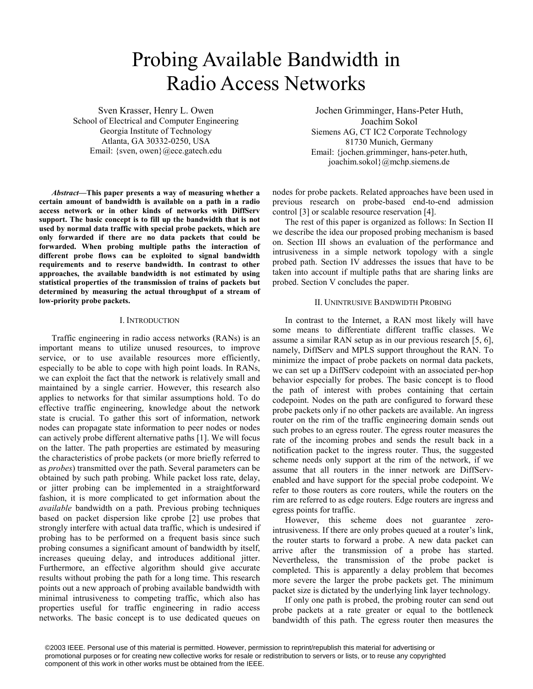# Probing Available Bandwidth in Radio Access Networks

Sven Krasser, Henry L. Owen School of Electrical and Computer Engineering Georgia Institute of Technology Atlanta, GA 30332-0250, USA Email: {sven, owen}@ece.gatech.edu

*Abstract***—This paper presents a way of measuring whether a certain amount of bandwidth is available on a path in a radio access network or in other kinds of networks with DiffServ support. The basic concept is to fill up the bandwidth that is not used by normal data traffic with special probe packets, which are only forwarded if there are no data packets that could be forwarded. When probing multiple paths the interaction of different probe flows can be exploited to signal bandwidth requirements and to reserve bandwidth. In contrast to other approaches, the available bandwidth is not estimated by using statistical properties of the transmission of trains of packets but determined by measuring the actual throughput of a stream of low-priority probe packets.** 

# I. INTRODUCTION

Traffic engineering in radio access networks (RANs) is an important means to utilize unused resources, to improve service, or to use available resources more efficiently, especially to be able to cope with high point loads. In RANs, we can exploit the fact that the network is relatively small and maintained by a single carrier. However, this research also applies to networks for that similar assumptions hold. To do effective traffic engineering, knowledge about the network state is crucial. To gather this sort of information, network nodes can propagate state information to peer nodes or nodes can actively probe different alternative paths [1]. We will focus on the latter. The path properties are estimated by measuring the characteristics of probe packets (or more briefly referred to as *probes*) transmitted over the path. Several parameters can be obtained by such path probing. While packet loss rate, delay, or jitter probing can be implemented in a straightforward fashion, it is more complicated to get information about the *available* bandwidth on a path. Previous probing techniques based on packet dispersion like cprobe [2] use probes that strongly interfere with actual data traffic, which is undesired if probing has to be performed on a frequent basis since such probing consumes a significant amount of bandwidth by itself, increases queuing delay, and introduces additional jitter. Furthermore, an effective algorithm should give accurate results without probing the path for a long time. This research points out a new approach of probing available bandwidth with minimal intrusiveness to competing traffic, which also has properties useful for traffic engineering in radio access networks. The basic concept is to use dedicated queues on

Jochen Grimminger, Hans-Peter Huth, Joachim Sokol Siemens AG, CT IC2 Corporate Technology 81730 Munich, Germany Email: {jochen.grimminger, hans-peter.huth, joachim.sokol}@mchp.siemens.de

nodes for probe packets. Related approaches have been used in previous research on probe-based end-to-end admission control [3] or scalable resource reservation [4].

The rest of this paper is organized as follows: In Section II we describe the idea our proposed probing mechanism is based on. Section III shows an evaluation of the performance and intrusiveness in a simple network topology with a single probed path. Section IV addresses the issues that have to be taken into account if multiple paths that are sharing links are probed. Section V concludes the paper.

## II. UNINTRUSIVE BANDWIDTH PROBING

In contrast to the Internet, a RAN most likely will have some means to differentiate different traffic classes. We assume a similar RAN setup as in our previous research [5, 6], namely, DiffServ and MPLS support throughout the RAN. To minimize the impact of probe packets on normal data packets, we can set up a DiffServ codepoint with an associated per-hop behavior especially for probes. The basic concept is to flood the path of interest with probes containing that certain codepoint. Nodes on the path are configured to forward these probe packets only if no other packets are available. An ingress router on the rim of the traffic engineering domain sends out such probes to an egress router. The egress router measures the rate of the incoming probes and sends the result back in a notification packet to the ingress router. Thus, the suggested scheme needs only support at the rim of the network, if we assume that all routers in the inner network are DiffServenabled and have support for the special probe codepoint. We refer to those routers as core routers, while the routers on the rim are referred to as edge routers. Edge routers are ingress and egress points for traffic.

However, this scheme does not guarantee zerointrusiveness. If there are only probes queued at a router's link, the router starts to forward a probe. A new data packet can arrive after the transmission of a probe has started. Nevertheless, the transmission of the probe packet is completed. This is apparently a delay problem that becomes more severe the larger the probe packets get. The minimum packet size is dictated by the underlying link layer technology.

If only one path is probed, the probing router can send out probe packets at a rate greater or equal to the bottleneck bandwidth of this path. The egress router then measures the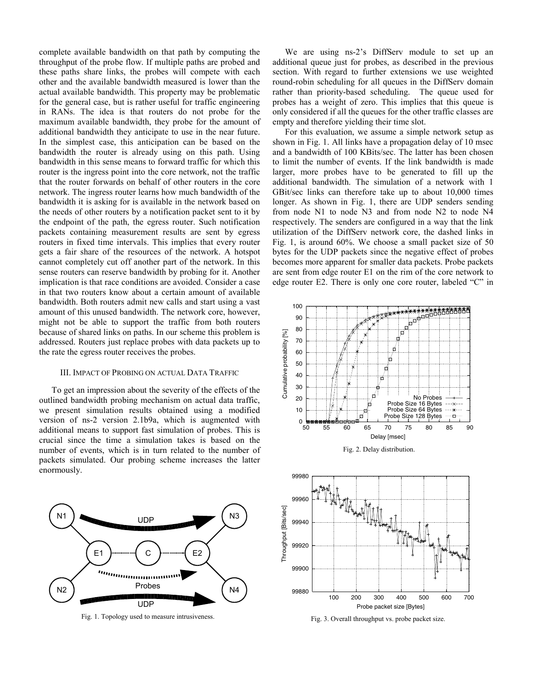complete available bandwidth on that path by computing the throughput of the probe flow. If multiple paths are probed and these paths share links, the probes will compete with each other and the available bandwidth measured is lower than the actual available bandwidth. This property may be problematic for the general case, but is rather useful for traffic engineering in RANs. The idea is that routers do not probe for the maximum available bandwidth, they probe for the amount of additional bandwidth they anticipate to use in the near future. In the simplest case, this anticipation can be based on the bandwidth the router is already using on this path. Using bandwidth in this sense means to forward traffic for which this router is the ingress point into the core network, not the traffic that the router forwards on behalf of other routers in the core network. The ingress router learns how much bandwidth of the bandwidth it is asking for is available in the network based on the needs of other routers by a notification packet sent to it by the endpoint of the path, the egress router. Such notification packets containing measurement results are sent by egress routers in fixed time intervals. This implies that every router gets a fair share of the resources of the network. A hotspot cannot completely cut off another part of the network. In this sense routers can reserve bandwidth by probing for it. Another implication is that race conditions are avoided. Consider a case in that two routers know about a certain amount of available bandwidth. Both routers admit new calls and start using a vast amount of this unused bandwidth. The network core, however, might not be able to support the traffic from both routers because of shared links on paths. In our scheme this problem is addressed. Routers just replace probes with data packets up to the rate the egress router receives the probes.

# III. IMPACT OF PROBING ON ACTUAL DATA TRAFFIC

To get an impression about the severity of the effects of the outlined bandwidth probing mechanism on actual data traffic, we present simulation results obtained using a modified version of ns-2 version 2.1b9a, which is augmented with additional means to support fast simulation of probes. This is crucial since the time a simulation takes is based on the number of events, which is in turn related to the number of packets simulated. Our probing scheme increases the latter enormously.



Fig. 1. Topology used to measure intrusiveness.

We are using ns-2's DiffServ module to set up an additional queue just for probes, as described in the previous section. With regard to further extensions we use weighted round-robin scheduling for all queues in the DiffServ domain rather than priority-based scheduling. The queue used for probes has a weight of zero. This implies that this queue is only considered if all the queues for the other traffic classes are empty and therefore yielding their time slot.

For this evaluation, we assume a simple network setup as shown in Fig. 1. All links have a propagation delay of 10 msec and a bandwidth of 100 KBits/sec. The latter has been chosen to limit the number of events. If the link bandwidth is made larger, more probes have to be generated to fill up the additional bandwidth. The simulation of a network with 1 GBit/sec links can therefore take up to about 10,000 times longer. As shown in Fig. 1, there are UDP senders sending from node N1 to node N3 and from node N2 to node N4 respectively. The senders are configured in a way that the link utilization of the DiffServ network core, the dashed links in Fig. 1, is around 60%. We choose a small packet size of 50 bytes for the UDP packets since the negative effect of probes becomes more apparent for smaller data packets. Probe packets are sent from edge router E1 on the rim of the core network to edge router E2. There is only one core router, labeled "C" in







Fig. 3. Overall throughput vs. probe packet size.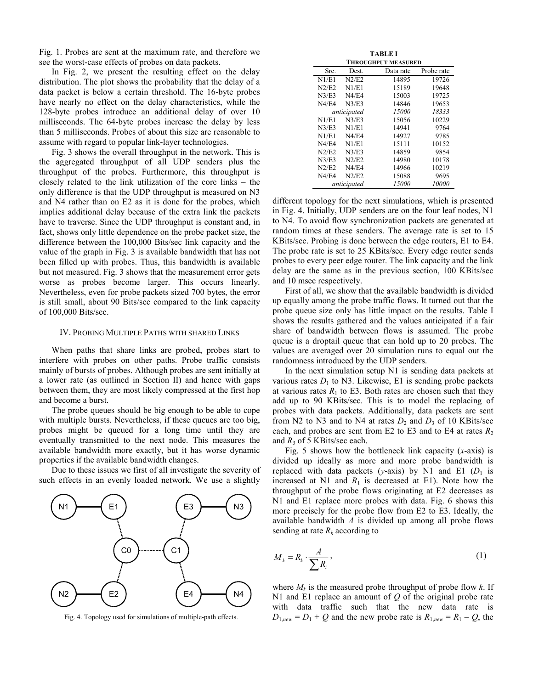Fig. 1. Probes are sent at the maximum rate, and therefore we see the worst-case effects of probes on data packets.

In Fig. 2, we present the resulting effect on the delay distribution. The plot shows the probability that the delay of a data packet is below a certain threshold. The 16-byte probes have nearly no effect on the delay characteristics, while the 128-byte probes introduce an additional delay of over 10 milliseconds. The 64-byte probes increase the delay by less than 5 milliseconds. Probes of about this size are reasonable to assume with regard to popular link-layer technologies.

Fig. 3 shows the overall throughput in the network. This is the aggregated throughput of all UDP senders plus the throughput of the probes. Furthermore, this throughput is closely related to the link utilization of the core links – the only difference is that the UDP throughput is measured on N3 and N4 rather than on E2 as it is done for the probes, which implies additional delay because of the extra link the packets have to traverse. Since the UDP throughput is constant and, in fact, shows only little dependence on the probe packet size, the difference between the 100,000 Bits/sec link capacity and the value of the graph in Fig. 3 is available bandwidth that has not been filled up with probes. Thus, this bandwidth is available but not measured. Fig. 3 shows that the measurement error gets worse as probes become larger. This occurs linearly. Nevertheless, even for probe packets sized 700 bytes, the error is still small, about 90 Bits/sec compared to the link capacity of 100,000 Bits/sec.

#### IV. PROBING MULTIPLE PATHS WITH SHARED LINKS

When paths that share links are probed, probes start to interfere with probes on other paths. Probe traffic consists mainly of bursts of probes. Although probes are sent initially at a lower rate (as outlined in Section II) and hence with gaps between them, they are most likely compressed at the first hop and become a burst.

The probe queues should be big enough to be able to cope with multiple bursts. Nevertheless, if these queues are too big, probes might be queued for a long time until they are eventually transmitted to the next node. This measures the available bandwidth more exactly, but it has worse dynamic properties if the available bandwidth changes.

Due to these issues we first of all investigate the severity of such effects in an evenly loaded network. We use a slightly



Fig. 4. Topology used for simulations of multiple-path effects.

| TABLE I                    |       |              |            |
|----------------------------|-------|--------------|------------|
| <b>THROUGHPUT MEASURED</b> |       |              |            |
| Src.                       | Dest. | Data rate    | Probe rate |
| N1/E1                      | N2/E2 | 14895        | 19726      |
| N2/E2                      | N1/E1 | 15189        | 19648      |
| N3/E3                      | N4/FA | 15003        | 19725      |
| N4/FA                      | N3/E3 | 14846        | 19653      |
| anticipated                |       | <i>15000</i> | 18333      |
| N1/E1                      | N3/E3 | 15056        | 10229      |
| N3/E3                      | N1/E1 | 14941        | 9764       |
| N1/E1                      | N4/F4 | 14927        | 9785       |
| N4/FA                      | N1/E1 | 15111        | 10152      |
| N2/E2                      | N3/E3 | 14859        | 9854       |
| N3/E3                      | N2/E2 | 14980        | 10178      |
| N2/E2                      | N4/F4 | 14966        | 10219      |
| N4/FA                      | N2/E2 | 15088        | 9695       |
| anticipated                |       | <i>15000</i> | 10000      |

different topology for the next simulations, which is presented in Fig. 4. Initially, UDP senders are on the four leaf nodes, N1 to N4. To avoid flow synchronization packets are generated at random times at these senders. The average rate is set to 15 KBits/sec. Probing is done between the edge routers, E1 to E4. The probe rate is set to 25 KBits/sec. Every edge router sends probes to every peer edge router. The link capacity and the link delay are the same as in the previous section, 100 KBits/sec and 10 msec respectively.

First of all, we show that the available bandwidth is divided up equally among the probe traffic flows. It turned out that the probe queue size only has little impact on the results. Table I shows the results gathered and the values anticipated if a fair share of bandwidth between flows is assumed. The probe queue is a droptail queue that can hold up to 20 probes. The values are averaged over 20 simulation runs to equal out the randomness introduced by the UDP senders.

In the next simulation setup N1 is sending data packets at various rates  $D_1$  to N3. Likewise, E1 is sending probe packets at various rates  $R_1$  to E3. Both rates are chosen such that they add up to 90 KBits/sec. This is to model the replacing of probes with data packets. Additionally, data packets are sent from N2 to N3 and to N4 at rates  $D_2$  and  $D_3$  of 10 KBits/sec each, and probes are sent from E2 to E3 and to E4 at rates  $R_2$ and  $R_3$  of 5 KBits/sec each.

Fig. 5 shows how the bottleneck link capacity (*x*-axis) is divided up ideally as more and more probe bandwidth is replaced with data packets ( $y$ -axis) by N1 and E1 ( $D_1$  is increased at N1 and  $R_1$  is decreased at E1). Note how the throughput of the probe flows originating at E2 decreases as N1 and E1 replace more probes with data. Fig. 6 shows this more precisely for the probe flow from E2 to E3. Ideally, the available bandwidth *A* is divided up among all probe flows sending at rate  $R_k$  according to

$$
M_k = R_k \cdot \frac{A}{\sum R_i},\tag{1}
$$

where  $M_k$  is the measured probe throughput of probe flow  $k$ . If N1 and E1 replace an amount of *Q* of the original probe rate with data traffic such that the new data rate is  $D_{1,new} = D_1 + Q$  and the new probe rate is  $R_{1,new} = R_1 - Q$ , the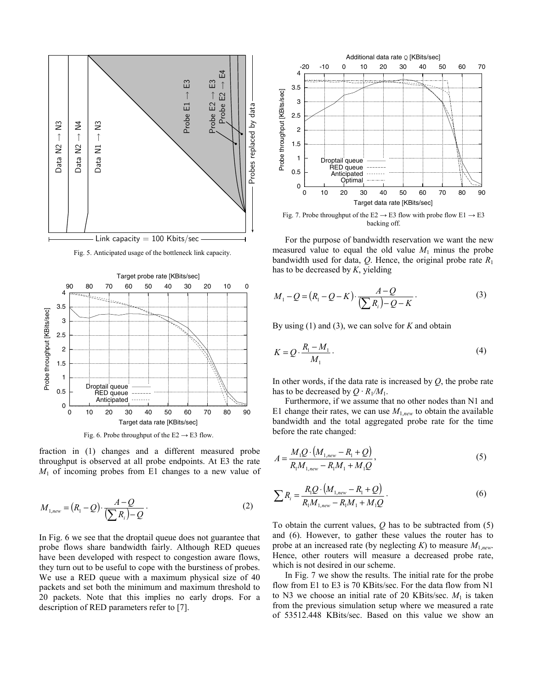

Fig. 5. Anticipated usage of the bottleneck link capacity.



Fig. 6. Probe throughput of the  $E2 \rightarrow E3$  flow.

fraction in (1) changes and a different measured probe throughput is observed at all probe endpoints. At E3 the rate *M*1 of incoming probes from E1 changes to a new value of

$$
M_{1,new} = (R_1 - Q) \cdot \frac{A - Q}{\left(\sum R_i\right) - Q} \,. \tag{2}
$$

In Fig. 6 we see that the droptail queue does not guarantee that probe flows share bandwidth fairly. Although RED queues have been developed with respect to congestion aware flows, they turn out to be useful to cope with the burstiness of probes. We use a RED queue with a maximum physical size of 40 packets and set both the minimum and maximum threshold to 20 packets. Note that this implies no early drops. For a description of RED parameters refer to [7].



Fig. 7. Probe throughput of the  $E2 \rightarrow E3$  flow with probe flow  $E1 \rightarrow E3$ backing off.

For the purpose of bandwidth reservation we want the new measured value to equal the old value  $M_1$  minus the probe bandwidth used for data,  $Q$ . Hence, the original probe rate  $R_1$ has to be decreased by *K*, yielding

$$
M_1 - Q = (R_1 - Q - K) \cdot \frac{A - Q}{\left(\sum R_i\right) - Q - K} \,. \tag{3}
$$

By using (1) and (3), we can solve for *K* and obtain

$$
K = Q \cdot \frac{R_1 - M_1}{M_1} \tag{4}
$$

In other words, if the data rate is increased by  $Q$ , the probe rate has to be decreased by  $Q \cdot R_1/M_1$ .

Furthermore, if we assume that no other nodes than N1 and E1 change their rates, we can use  $M_{1,new}$  to obtain the available bandwidth and the total aggregated probe rate for the time before the rate changed:

$$
A = \frac{M_1 Q \cdot (M_{1, new} - R_1 + Q)}{R_1 M_{1, new} - R_1 M_1 + M_1 Q},
$$
\n<sup>(5)</sup>

$$
\sum R_i = \frac{R_1 Q \cdot (M_{1,new} - R_1 + Q)}{R_1 M_{1,new} - R_1 M_1 + M_1 Q}.
$$
\n(6)

To obtain the current values, *Q* has to be subtracted from (5) and (6). However, to gather these values the router has to probe at an increased rate (by neglecting *K*) to measure *M*1,*new*. Hence, other routers will measure a decreased probe rate, which is not desired in our scheme.

In Fig. 7 we show the results. The initial rate for the probe flow from E1 to E3 is 70 KBits/sec. For the data flow from N1 to N3 we choose an initial rate of 20 KBits/sec. *M*1 is taken from the previous simulation setup where we measured a rate of 53512.448 KBits/sec. Based on this value we show an